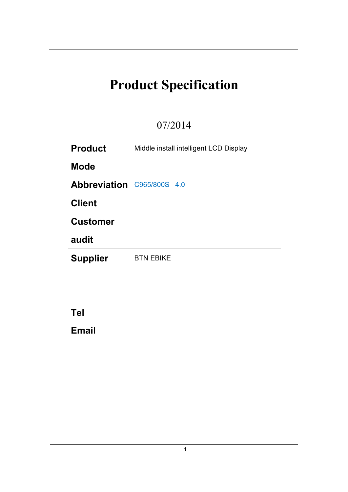# **Product Specification**

# 07/2014

| <b>Product</b>                    | Middle install intelligent LCD Display |  |  |
|-----------------------------------|----------------------------------------|--|--|
| <b>Mode</b>                       |                                        |  |  |
| <b>Abbreviation C965/800S 4.0</b> |                                        |  |  |
| <b>Client</b>                     |                                        |  |  |
| <b>Customer</b>                   |                                        |  |  |
| audit                             |                                        |  |  |
| <b>Supplier</b>                   | <b>BTN EBIKE</b>                       |  |  |
|                                   |                                        |  |  |

**Tel Email**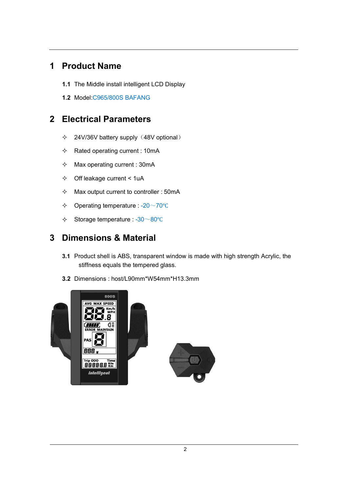## **1 Product Name**

- **1.1** The Middle install intelligent LCD Display
- **1.2** Model:C965/800S BAFANG

## **2 Electrical Parameters**

- $\div$  24V/36V battery supply (48V optional)
- $\Diamond$  Rated operating current: 10mA
- $\lozenge$  Max operating current : 30mA
- $\div$  Off leakage current < 1uA
- $\lozenge$  Max output current to controller : 50mA
- Operating temperature : -20~70℃
- Storage temperature : -30~80℃

## **3 Dimensions & Material**

- **3.1** Product shell is ABS, transparent window is made with high strength Acrylic, the stiffness equals the tempered glass.
- **3.2** Dimensions : host/L90mm\*W54mm\*H13.3mm

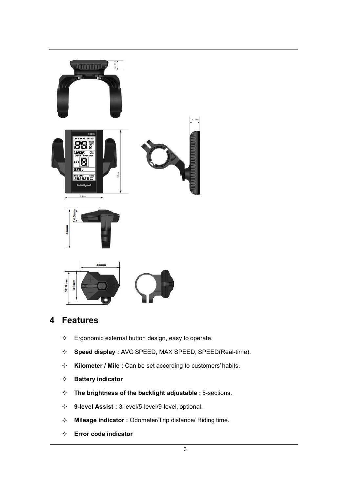

# **4 Features**

- $\Leftrightarrow$  Ergonomic external button design, easy to operate.
- **Speed display :** AVG SPEED, MAX SPEED, SPEED(Real-time).
- **Kilometer / Mile :** Can be set according to customers'habits.
- **Battery indicator**
- **The brightness of the backlight adjustable :** 5-sections.
- **9-level Assist :** 3-level/5-level/9-level, optional.
- **Mileage indicator :** Odometer/Trip distance/ Riding time.
- **Error code indicator**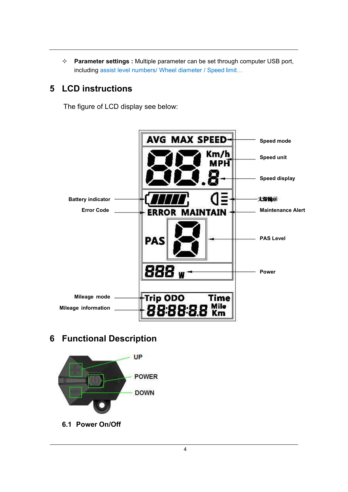**Parameter settings :** Multiple parameter can be set through computer USB port, including assist level numbers/ Wheel diameter / Speed limit…

## **5 LCD instructions**

The figure of LCD display see below:



### **6 Functional Description**



**6.1 Power On/Off**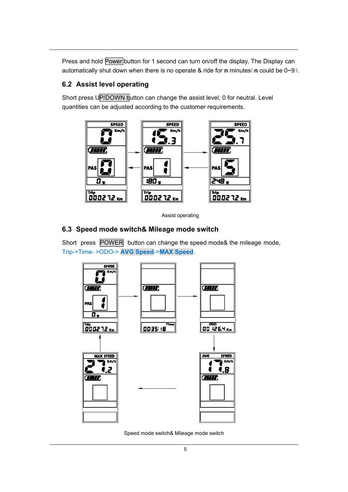Press and hold Power button for 1 second can turn on/off the display. The Display can automatically shut down when there is no operate & ride for **n** minutes(**n** could be 0~9).

#### **6.2 Assist level operating**

Short press UP/DOWN button can change the assist level, 0 for neutral. Level quantities can be adjusted according to the customer requirements.



Assist operating

#### **6.3 Speed mode switch& Mileage mode switch**

Short press POWER $\mid$  button can change the speed mode& the mileage mode, Trip->Time- >ODO-> **AVG Speed**->**MAX Speed**.



Speed mode switch& Mileage mode switch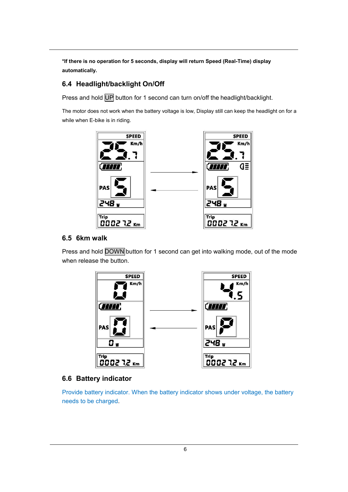**\*If there is no operation for 5 seconds, display will return Speed (Real-Time) display automatically.**

#### **6.4 Headlight/backlight On/Off**

Press and hold UP button for 1 second can turn on/off the headlight/backlight.

The motor does not work when the battery voltage is low, Display still can keep the headlight on for a while when E-bike is in riding.



#### **6.5 6km walk**

Press and hold DOWN button for 1 second can get into walking mode, out of the mode when release the button.



#### **6.6 Battery indicator**

Provide battery indicator. When the battery indicator shows under voltage, the battery needs to be charged.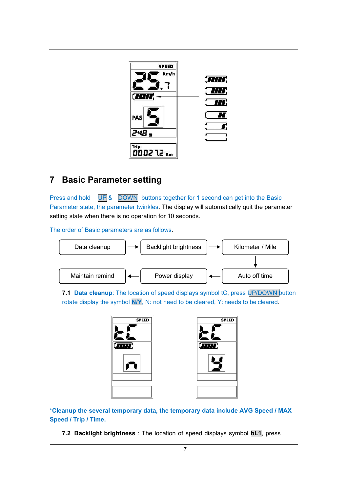

## **7 Basic Parameter setting**

Press and hold UP & DOWN buttons together for 1 second can get into the Basic Parameter state, the parameter twinkles. The display will automatically quit the parameter setting state when there is no operation for 10 seconds.

The order of Basic parameters are as follows.



**7.1 Data cleanup**: The location of speed displays symbol tC, press UP/DOWN button rotate display the symbol **N/Y**, N: not need to be cleared, Y: needs to be cleared.



**\*Cleanup the several temporary data, the temporary data include AVG Speed / MAX Speed / Trip / Time.**

**7.2 Backlight brightness** : The location of speed displays symbol **bL1**, press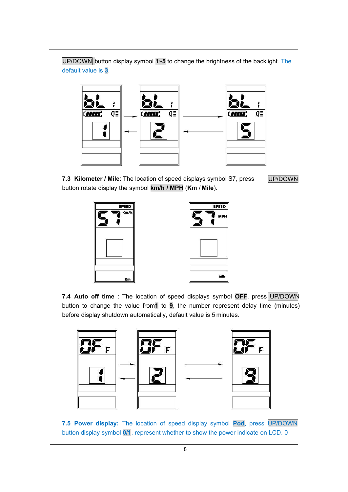UP/DOWN button display symbol 1~5 to change the brightness of the backlight. The default value is **3**.



**7.3 Kilometer / Mile**: The location of speed displays symbol S7, press button rotate display the symbol **km/h / MPH** (**Km** / **Mile**).

UP/DOWN



| <b>SPEED</b> |  |
|--------------|--|
| <b>MPH</b>   |  |
|              |  |
|              |  |
| Mile         |  |

**7.4 Auto off time** : The location of speed displays symbol **OFF**, press UP/DOWN button to change the value from**1** to **9**, the number represent delay time (minutes) before display shutdown automatically, default value is 5 minutes.



**7.5 Power display:** The location of speed display symbol **Pod**, press UP/DOWN button display symbol **0/1**, represent whether to show the power indicate on LCD. 0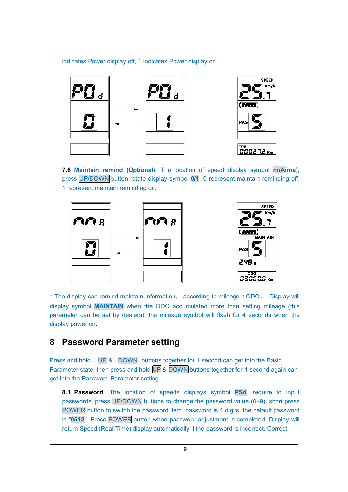indicates Power display off, 1 indicates Power display on.



**7.6 Maintain remind (Optional)**: The location of speed display symbol **nnA(ma)**, press UP/DOWN button rotate display symbol 0/1, 0 represent maintain reminding off, 1 represent maintain reminding on.



\* The display can remind maintain information, according to mileage(ODO). Display will display symbol **MAINTAIN** when the ODO accumulated more than setting mileage (this parameter can be set by dealers), the mileage symbol will flash for 4 seconds when the display power on.

#### **8 Password Parameter setting**

Press and hold UP & DOWN buttons together for 1 second can get into the Basic Parameter state, then press and hold UP & DOWN buttons together for 1 second again can get into the Password Parameter setting.

**8.1 Password**: The location of speeds displays symbol **PSd**, require to input passwords, press UP/DOWN buttons to change the password value (0~9), short press POWER button to switch the password item, password is 4 digits, the default password is "0512". Press POWER button when password adjustment is completed. Display will return Speed (Real-Time) display automatically if the password is incorrect. Correct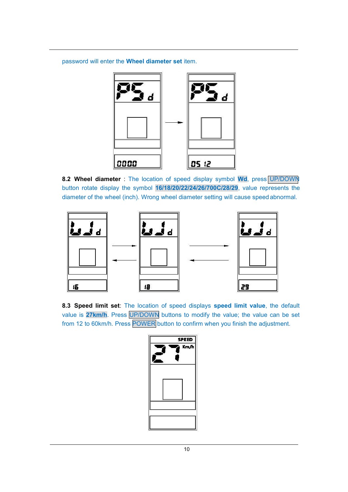password will enterthe **Wheel diameter set** item.



**8.2 Wheel diameter** : The location of speed display symbol **Wd**, press UP/DOWN button rotate display the symbol **16/18/20/22/24/26/700C/28/29**, value represents the diameter of the wheel (inch). Wrong wheel diameter setting will cause speed abnormal.



**8.3 Speed limit set**: The location of speed displays **speed limit value**, the default value is**27km/h**. Press UP/DOWN buttons to modify the value; the value can be set from 12 to 60km/h. Press POWER button to confirm when you finish the adjustment.

| <b>SPEED</b> |  |
|--------------|--|
| Km/h         |  |
|              |  |
|              |  |
|              |  |
|              |  |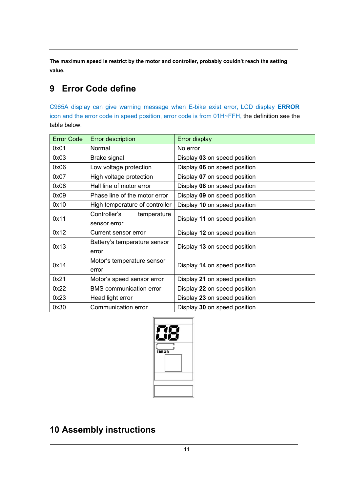**The maximum speed is restrict by the motorand controller, probably couldn't reach the setting value.**

# **9 Error Code define**

C965A display can give warning message when E-bike exist error,LCD display **ERROR** icon and the error code in speed position, error code is from 01H~FFH, the definition see the table below.

| <b>Error Code</b> | <b>Error description</b>                    | <b>Error display</b>         |
|-------------------|---------------------------------------------|------------------------------|
| 0x01              | Normal                                      | No error                     |
| 0x03              | Brake signal                                | Display 03 on speed position |
| 0x06              | Low voltage protection                      | Display 06 on speed position |
| 0x07              | High voltage protection                     | Display 07 on speed position |
| 0x08              | Hall line of motor error                    | Display 08 on speed position |
| 0x09              | Phase line of the motor error               | Display 09 on speed position |
| 0x10              | High temperature of controller              | Display 10 on speed position |
| 0x11              | Controller's<br>temperature<br>sensor error | Display 11 on speed position |
| 0x12              | Current sensor error                        | Display 12 on speed position |
| 0x13              | Battery's temperature sensor<br>error       | Display 13 on speed position |
| 0x14              | Motor's temperature sensor<br>error         | Display 14 on speed position |
| 0x21              | Motor's speed sensor error                  | Display 21 on speed position |
| 0x22              | <b>BMS</b> communication error              | Display 22 on speed position |
| 0x23              | Head light error                            | Display 23 on speed position |
| 0x30              | Communication error                         | Display 30 on speed position |



# **10 Assembly instructions**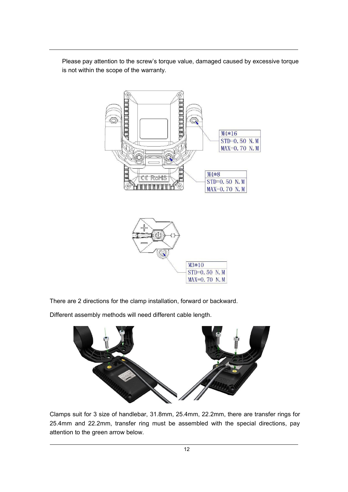Please pay attention to the screw's torque value, damaged caused by excessive torque is not within the scope of the warranty.



There are 2 directions for the clamp installation, forward or backward.

Different assembly methods will need different cable length.



Clamps suit for 3 size of handlebar, 31.8mm, 25.4mm, 22.2mm, there are transfer rings for 25.4mm and 22.2mm, transfer ring must be assembled with the special directions, pay attention to the green arrow below.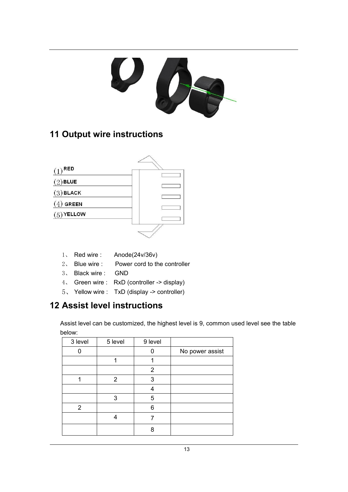

# **Output wire instructions**



- 1、 Red wire : Anode(24v/36v)
- 2、 Blue wire : Power cord to the controller
- 3、 Black wire : GND
- 4、 Green wire : RxD (controller -> display)
- 5、 Yellow wire : TxD (display -> controller)

# **Assist level instructions**

Assist level can be customized, the highest level is 9, common used level see the table below:

| 3 level | 5 level | 9 level |                 |
|---------|---------|---------|-----------------|
|         |         |         | No power assist |
|         |         |         |                 |
|         |         | 2       |                 |
|         | 2       | 3       |                 |
|         |         | 4       |                 |
|         | 3       | 5       |                 |
| 2       |         | 6       |                 |
|         |         |         |                 |
|         |         | Ο       |                 |